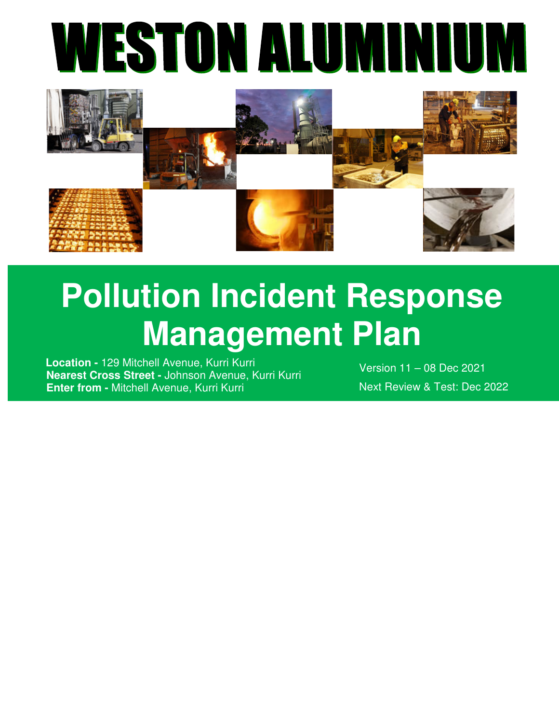



# **Pollution Incident Response Management Plan**

 **Location -** 129 Mitchell Avenue, Kurri Kurri  **Nearest Cross Street -** Johnson Avenue, Kurri Kurri  **Enter from -** Mitchell Avenue, Kurri Kurri

Version 11 – 08 Dec 2021 Next Review & Test: Dec 2022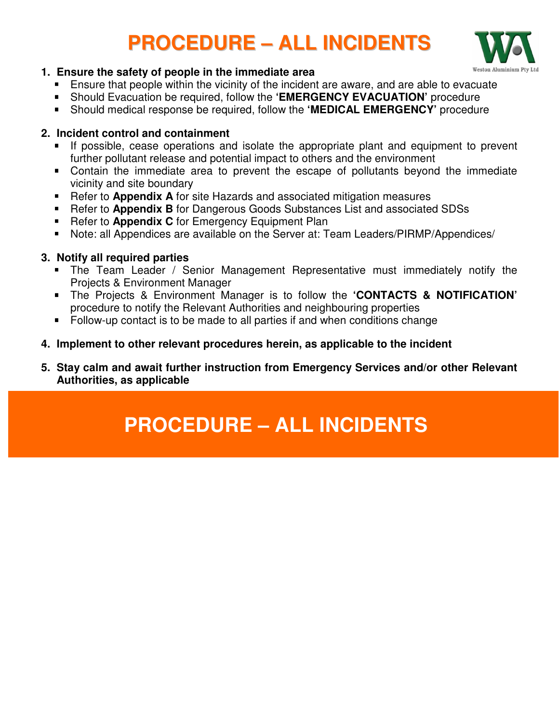### **PROCEDURE – ALL INCIDENTS**



#### **1. Ensure the safety of people in the immediate area**

- Ensure that people within the vicinity of the incident are aware, and are able to evacuate
- Should Evacuation be required, follow the **'EMERGENCY EVACUATION'** procedure
- Should medical response be required, follow the **'MEDICAL EMERGENCY'** procedure

#### **2. Incident control and containment**

- If possible, cease operations and isolate the appropriate plant and equipment to prevent further pollutant release and potential impact to others and the environment
- Contain the immediate area to prevent the escape of pollutants beyond the immediate vicinity and site boundary
- Refer to **Appendix A** for site Hazards and associated mitigation measures
- Refer to **Appendix B** for Dangerous Goods Substances List and associated SDSs
- **Refer to Appendix C** for Emergency Equipment Plan
- Note: all Appendices are available on the Server at: Team Leaders/PIRMP/Appendices/

#### **3. Notify all required parties**

- The Team Leader / Senior Management Representative must immediately notify the Projects & Environment Manager
- The Projects & Environment Manager is to follow the **'CONTACTS & NOTIFICATION'** procedure to notify the Relevant Authorities and neighbouring properties
- Follow-up contact is to be made to all parties if and when conditions change
- **4. Implement to other relevant procedures herein, as applicable to the incident**
- **5. Stay calm and await further instruction from Emergency Services and/or other Relevant Authorities, as applicable**

### **PROCEDURE – ALL INCIDENTS**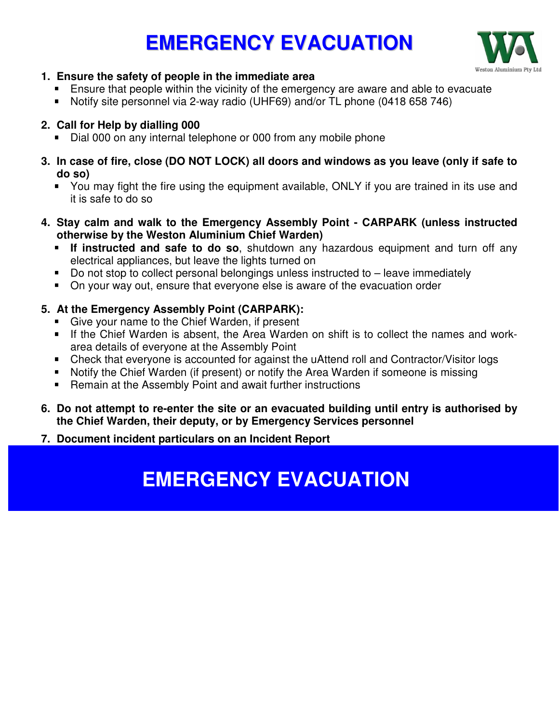### **EMERGENCY EVACUATION**



#### **1. Ensure the safety of people in the immediate area**

- **Ensure that people within the vicinity of the emergency are aware and able to evacuate**
- Notify site personnel via 2-way radio (UHF69) and/or TL phone (0418 658 746)

#### **2. Call for Help by dialling 000**

- Dial 000 on any internal telephone or 000 from any mobile phone
- **3. In case of fire, close (DO NOT LOCK) all doors and windows as you leave (only if safe to do so)** 
	- You may fight the fire using the equipment available, ONLY if you are trained in its use and it is safe to do so
- **4. Stay calm and walk to the Emergency Assembly Point CARPARK (unless instructed otherwise by the Weston Aluminium Chief Warden)** 
	- **If instructed and safe to do so**, shutdown any hazardous equipment and turn off any electrical appliances, but leave the lights turned on
	- Do not stop to collect personal belongings unless instructed to leave immediately
	- On your way out, ensure that everyone else is aware of the evacuation order

### **5. At the Emergency Assembly Point (CARPARK):**

- Give your name to the Chief Warden, if present
- If the Chief Warden is absent, the Area Warden on shift is to collect the names and workarea details of everyone at the Assembly Point
- Check that everyone is accounted for against the uAttend roll and Contractor/Visitor logs
- Notify the Chief Warden (if present) or notify the Area Warden if someone is missing
- Remain at the Assembly Point and await further instructions
- **6. Do not attempt to re-enter the site or an evacuated building until entry is authorised by the Chief Warden, their deputy, or by Emergency Services personnel**

#### **7. Document incident particulars on an Incident Report**

### **EMERGENCY EVACUATION**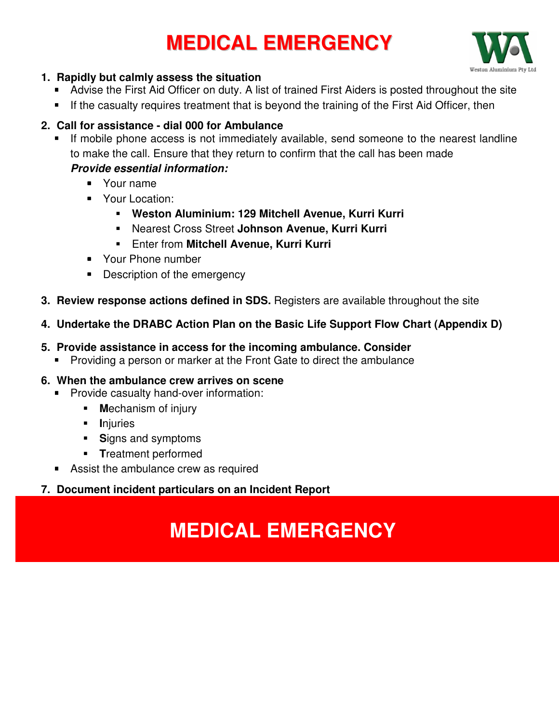### **MEDICAL EMERGENCY**



#### **1. Rapidly but calmly assess the situation**

- Advise the First Aid Officer on duty. A list of trained First Aiders is posted throughout the site
- **If the casualty requires treatment that is beyond the training of the First Aid Officer, then**

#### **2. Call for assistance - dial 000 for Ambulance**

- If mobile phone access is not immediately available, send someone to the nearest landline to make the call. Ensure that they return to confirm that the call has been made *Provide essential information:* 
	- **Nour name**
	- **Your Location:** 
		- **Weston Aluminium: 129 Mitchell Avenue, Kurri Kurri**
		- Nearest Cross Street **Johnson Avenue, Kurri Kurri**
		- Enter from **Mitchell Avenue, Kurri Kurri**
	- Your Phone number
	- Description of the emergency
- **3. Review response actions defined in SDS.** Registers are available throughout the site
- **4. Undertake the DRABC Action Plan on the Basic Life Support Flow Chart (Appendix D)**
- **5. Provide assistance in access for the incoming ambulance. Consider** 
	- **Providing a person or marker at the Front Gate to direct the ambulance**

#### **6. When the ambulance crew arrives on scene**

- **Provide casualty hand-over information:** 
	- **M**echanism of injury
	- **I**njuries
	- **S**igns and symptoms
	- **T**reatment performed
- Assist the ambulance crew as required

### **7. Document incident particulars on an Incident Report**

### **MEDICAL EMERGENCY**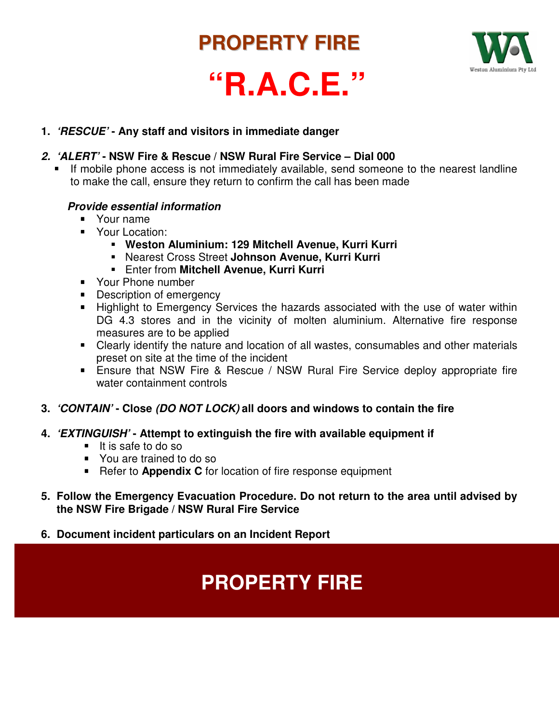### **PROPERTY FIRE**



## **"R.A.C.E."**

#### **1.** *'RESCUE'* **- Any staff and visitors in immediate danger**

#### *2. 'ALERT'* **- NSW Fire & Rescue / NSW Rural Fire Service – Dial 000**

 If mobile phone access is not immediately available, send someone to the nearest landline to make the call, ensure they return to confirm the call has been made

#### *Provide essential information*

- **Nour name**
- **Your Location:** 
	- **Weston Aluminium: 129 Mitchell Avenue, Kurri Kurri**
	- Nearest Cross Street **Johnson Avenue, Kurri Kurri**
	- Enter from **Mitchell Avenue, Kurri Kurri**
- **Your Phone number**
- **Description of emergency**
- **Highlight to Emergency Services the hazards associated with the use of water within** DG 4.3 stores and in the vicinity of molten aluminium. Alternative fire response measures are to be applied
- Clearly identify the nature and location of all wastes, consumables and other materials preset on site at the time of the incident
- **Ensure that NSW Fire & Rescue / NSW Rural Fire Service deploy appropriate fire** water containment controls
- **3.** *'CONTAIN'* **Close** *(DO NOT LOCK)* **all doors and windows to contain the fire**
- **4.** *'EXTINGUISH'* **Attempt to extinguish the fire with available equipment if** 
	- $\blacksquare$  It is safe to do so
	- You are trained to do so
	- **Refer to Appendix C** for location of fire response equipment
- **5. Follow the Emergency Evacuation Procedure. Do not return to the area until advised by the NSW Fire Brigade / NSW Rural Fire Service**
- **6. Document incident particulars on an Incident Report**

### **PROPERTY FIRE**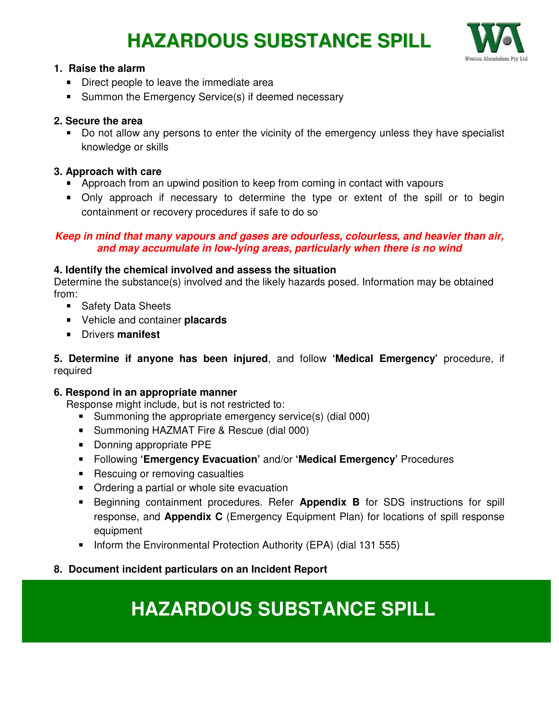### **HAZARDOUS SUBSTANCE SPILL**



#### **1. Raise the alarm**

- **Direct people to leave the immediate area**
- Summon the Emergency Service(s) if deemed necessary

#### **2. Secure the area**

 Do not allow any persons to enter the vicinity of the emergency unless they have specialist knowledge or skills

#### **3. Approach with care**

- **Approach from an upwind position to keep from coming in contact with vapours**
- Only approach if necessary to determine the type or extent of the spill or to begin containment or recovery procedures if safe to do so

#### *Keep in mind that many vapours and gases are odourless, colourless, and heavier than air, and may accumulate in low-lying areas, particularly when there is no wind*

#### **4. Identify the chemical involved and assess the situation**

Determine the substance(s) involved and the likely hazards posed. Information may be obtained from:

- Safety Data Sheets
- Vehicle and container **placards**
- Drivers **manifest**

#### **5. Determine if anyone has been injured**, and follow **'Medical Emergency'** procedure, if required

#### **6. Respond in an appropriate manner**

Response might include, but is not restricted to:

- **Summoning the appropriate emergency service(s) (dial 000)**
- Summoning HAZMAT Fire & Rescue (dial 000)
- Donning appropriate PPE
- Following **'Emergency Evacuation'** and/or **'Medical Emergency'** Procedures
- Rescuing or removing casualties
- Ordering a partial or whole site evacuation
- **Beginning containment procedures. Refer Appendix B** for SDS instructions for spill response, and **Appendix C** (Emergency Equipment Plan) for locations of spill response equipment
- **Inform the Environmental Protection Authority (EPA) (dial 131 555)**

#### **8. Document incident particulars on an Incident Report**

### **HAZARDOUS SUBSTANCE SPILL**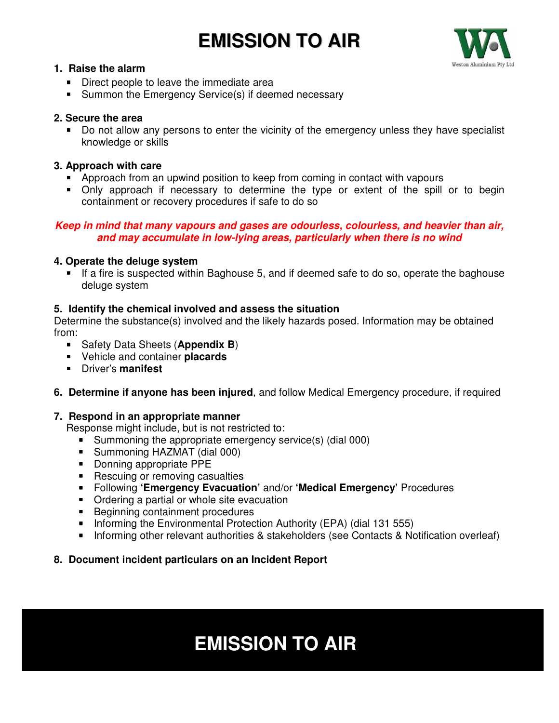### **EMISSION TO AIR**



#### **1. Raise the alarm**

- **Direct people to leave the immediate area**
- Summon the Emergency Service(s) if deemed necessary

#### **2. Secure the area**

 Do not allow any persons to enter the vicinity of the emergency unless they have specialist knowledge or skills

#### **3. Approach with care**

- Approach from an upwind position to keep from coming in contact with vapours
- Only approach if necessary to determine the type or extent of the spill or to begin containment or recovery procedures if safe to do so

#### *Keep in mind that many vapours and gases are odourless, colourless, and heavier than air, and may accumulate in low-lying areas, particularly when there is no wind*

#### **4. Operate the deluge system**

 If a fire is suspected within Baghouse 5, and if deemed safe to do so, operate the baghouse deluge system

#### **5. Identify the chemical involved and assess the situation**

Determine the substance(s) involved and the likely hazards posed. Information may be obtained from:

- **Safety Data Sheets (Appendix B)**
- Vehicle and container **placards**
- Driver's **manifest**
- **6. Determine if anyone has been injured**, and follow Medical Emergency procedure, if required

#### **7. Respond in an appropriate manner**

Response might include, but is not restricted to:

- **Summoning the appropriate emergency service(s) (dial 000)**
- Summoning HAZMAT (dial 000)
- Donning appropriate PPE
- Rescuing or removing casualties
- Following **'Emergency Evacuation'** and/or **'Medical Emergency'** Procedures
- Ordering a partial or whole site evacuation
- **Beginning containment procedures**
- Informing the Environmental Protection Authority (EPA) (dial 131 555)
- **Informing other relevant authorities & stakeholders (see Contacts & Notification overleaf)**

#### **8. Document incident particulars on an Incident Report**

### **EMISSION TO AIR**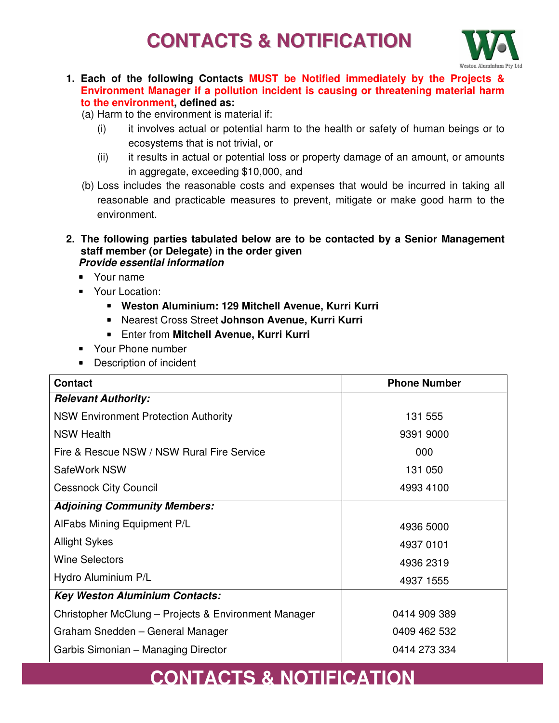### **CONTACTS & NOTIFICATION**



- **1. Each of the following Contacts MUST be Notified immediately by the Projects & Environment Manager if a pollution incident is causing or threatening material harm to the environment, defined as:** 
	- (a) Harm to the environment is material if:
		- (i) it involves actual or potential harm to the health or safety of human beings or to ecosystems that is not trivial, or
		- (ii) it results in actual or potential loss or property damage of an amount, or amounts in aggregate, exceeding \$10,000, and
	- (b) Loss includes the reasonable costs and expenses that would be incurred in taking all reasonable and practicable measures to prevent, mitigate or make good harm to the environment.
- **2. The following parties tabulated below are to be contacted by a Senior Management staff member (or Delegate) in the order given**  *Provide essential information* 
	- Your name
	- Your Location:
		- **Weston Aluminium: 129 Mitchell Avenue, Kurri Kurri**
		- Nearest Cross Street **Johnson Avenue, Kurri Kurri**
		- Enter from **Mitchell Avenue, Kurri Kurri**
	- Your Phone number
	- Description of incident

| <b>Contact</b>                                       | <b>Phone Number</b> |
|------------------------------------------------------|---------------------|
| <b>Relevant Authority:</b>                           |                     |
| <b>NSW Environment Protection Authority</b>          | 131 555             |
| <b>NSW Health</b>                                    | 9391 9000           |
| Fire & Rescue NSW / NSW Rural Fire Service           | 000                 |
| SafeWork NSW                                         | 131 050             |
| <b>Cessnock City Council</b>                         | 4993 4100           |
| <b>Adjoining Community Members:</b>                  |                     |
| AlFabs Mining Equipment P/L                          | 4936 5000           |
| <b>Allight Sykes</b>                                 | 4937 0101           |
| <b>Wine Selectors</b>                                | 4936 2319           |
| Hydro Aluminium P/L                                  | 4937 1555           |
| <b>Key Weston Aluminium Contacts:</b>                |                     |
| Christopher McClung - Projects & Environment Manager | 0414 909 389        |
| Graham Snedden - General Manager                     | 0409 462 532        |
| Garbis Simonian – Managing Director                  | 0414 273 334        |

### **CONTACTS & NOTIFICATION**